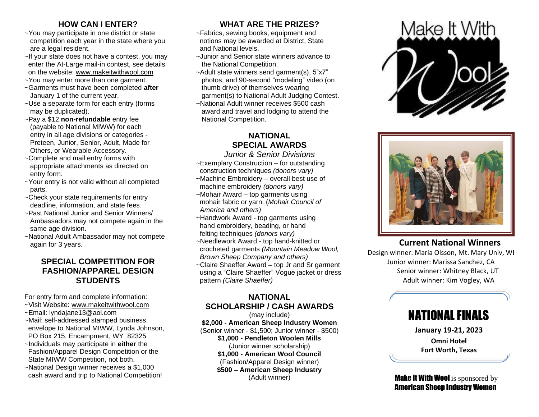## **HOW CAN I ENTER?**

- ~You may participate in one district or state competition each year in the state where you are a legal resident.
- ~If your state does not have a contest, you may enter the At-Large mail-in contest, see details on the website: [www.makeitwithwool.com](http://www.makeitwithwool.com/)
- ~You may enter more than one garment.
- ~Garments must have been completed **after** January 1 of the current year.
- ~Use a separate form for each entry (forms may be duplicated).
- ~Pay a \$12 **non-refundable** entry fee (payable to National MIWW) for each entry in all age divisions or categories - Preteen, Junior, Senior, Adult, Made for Others, or Wearable Accessory.
- ~Complete and mail entry forms with appropriate attachments as directed on entry form.
- ~Your entry is not valid without all completed parts.
- ~Check your state requirements for entry deadline, information, and state fees.
- ~Past National Junior and Senior Winners/ Ambassadors may not compete again in the same age division.
- ~National Adult Ambassador may not compete again for 3 years.

#### **SPECIAL COMPETITION FOR FASHION/APPAREL DESIGN STUDENTS**

For entry form and complete information:

- ~Visit Website: [www.makeitwithwool.com](http://www.makeitwithwool.com/)
- ~Email: [lyndajane13@aol.com](mailto:lyndajane13@aol.com)
- ~Mail: self-addressed stamped business envelope to National MIWW, Lynda Johnson, PO Box 215, Encampment, WY 82325
- ~Individuals may participate in **either** the Fashion/Apparel Design Competition or the State MIWW Competition, not both.
- ~National Design winner receives a \$1,000 cash award and trip to National Competition!

### **WHAT ARE THE PRIZES?**

- ~Fabrics, sewing books, equipment and notions may be awarded at District, State and National levels.
- ~Junior and Senior state winners advance to the National Competition.
- ~Adult state winners send garment(s), 5"x7" photos, and 90-second "modeling" video (on thumb drive) of themselves wearing garment(s) to National Adult Judging Contest.
- ~National Adult winner receives \$500 cash award and travel and lodging to attend the National Competition.

## **NATIONAL SPECIAL AWARDS**

*Junior & Senior Divisions*

- ~Exemplary Construction for outstanding construction techniques *(donors vary)* ~Machine Embroidery – overall best use of machine embroidery *(donors vary)*
- ~Mohair Award top garments using mohair fabric or yarn. (*Mohair Council of America and others)*
- ~Handwork Award top garments using hand embroidery, beading, or hand felting techniques *(donors vary)*
- ~Needlework Award top hand-knitted or crocheted garments *(Mountain Meadow Wool,*
- *Brown Sheep Company and others)* ~Claire Shaeffer Award – top Jr and Sr garment using a "Claire Shaeffer" Vogue jacket or dress pattern *(Claire Shaeffer)*

## **NATIONAL SCHOLARSHIP / CASH AWARDS**

(may include) **\$2,000 - American Sheep Industry Women** (Senior winner - \$1,500; Junior winner - \$500) **\$1,000 - Pendleton Woolen Mills** (Junior winner scholarship) **\$1,000 - American Wool Council** (Fashion/Apparel Design winner) **\$500 – American Sheep Industry** (Adult winner)





#### **Current National Winners**

Design winner: Maria Olsson, Mt. Mary Univ, WI Junior winner: Marissa Sanchez, CA Senior winner: Whitney Black, UT Adult winner: Kim Vogley, WA

# NATIONAL FINALS

**January 19-21, 2023 Omni Hotel Fort Worth, Texas**

**Make It With Wool** is sponsored by American Sheep Industry Women